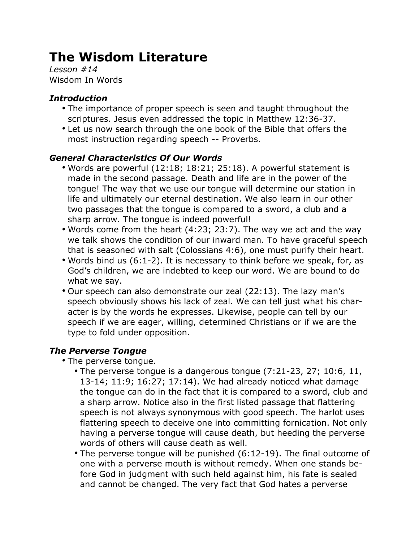# **The Wisdom Literature**

*Lesson #14* Wisdom In Words

### *Introduction*

- The importance of proper speech is seen and taught throughout the scriptures. Jesus even addressed the topic in Matthew 12:36-37.
- Let us now search through the one book of the Bible that offers the most instruction regarding speech -- Proverbs.

### *General Characteristics Of Our Words*

- Words are powerful (12:18; 18:21; 25:18). A powerful statement is made in the second passage. Death and life are in the power of the tongue! The way that we use our tongue will determine our station in life and ultimately our eternal destination. We also learn in our other two passages that the tongue is compared to a sword, a club and a sharp arrow. The tongue is indeed powerful!
- Words come from the heart (4:23; 23:7). The way we act and the way we talk shows the condition of our inward man. To have graceful speech that is seasoned with salt (Colossians 4:6), one must purify their heart.
- Words bind us (6:1-2). It is necessary to think before we speak, for, as God's children, we are indebted to keep our word. We are bound to do what we say.
- Our speech can also demonstrate our zeal (22:13). The lazy man's speech obviously shows his lack of zeal. We can tell just what his character is by the words he expresses. Likewise, people can tell by our speech if we are eager, willing, determined Christians or if we are the type to fold under opposition.

# *The Perverse Tongue*

- The perverse tongue.
	- The perverse tongue is a dangerous tongue (7:21-23, 27; 10:6, 11, 13-14; 11:9; 16:27; 17:14). We had already noticed what damage the tongue can do in the fact that it is compared to a sword, club and a sharp arrow. Notice also in the first listed passage that flattering speech is not always synonymous with good speech. The harlot uses flattering speech to deceive one into committing fornication. Not only having a perverse tongue will cause death, but heeding the perverse words of others will cause death as well.
	- The perverse tongue will be punished (6:12-19). The final outcome of one with a perverse mouth is without remedy. When one stands before God in judgment with such held against him, his fate is sealed and cannot be changed. The very fact that God hates a perverse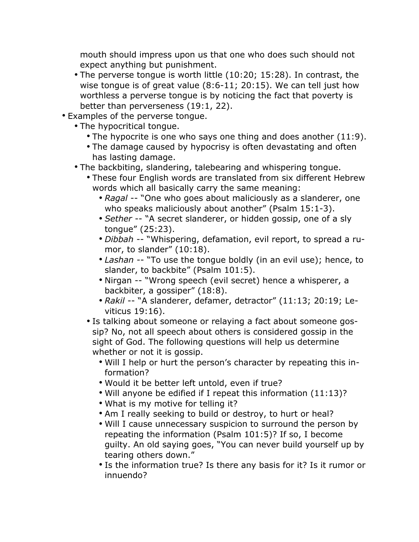mouth should impress upon us that one who does such should not expect anything but punishment.

- The perverse tongue is worth little (10:20; 15:28). In contrast, the wise tongue is of great value (8:6-11; 20:15). We can tell just how worthless a perverse tongue is by noticing the fact that poverty is better than perverseness (19:1, 22).
- Examples of the perverse tongue.
	- The hypocritical tongue.
		- The hypocrite is one who says one thing and does another (11:9).
		- The damage caused by hypocrisy is often devastating and often has lasting damage.
	- The backbiting, slandering, talebearing and whispering tongue.
		- These four English words are translated from six different Hebrew words which all basically carry the same meaning:
			- *Ragal* -- "One who goes about maliciously as a slanderer, one who speaks maliciously about another" (Psalm 15:1-3).
			- *Sether* -- "A secret slanderer, or hidden gossip, one of a sly tongue" (25:23).
			- *Dibbah* -- "Whispering, defamation, evil report, to spread a rumor, to slander" (10:18).
			- *Lashan* -- "To use the tongue boldly (in an evil use); hence, to slander, to backbite" (Psalm 101:5).
			- Nirgan -- "Wrong speech (evil secret) hence a whisperer, a backbiter, a gossiper" (18:8).
			- *Rakil* -- "A slanderer, defamer, detractor" (11:13; 20:19; Leviticus 19:16).
		- Is talking about someone or relaying a fact about someone gossip? No, not all speech about others is considered gossip in the sight of God. The following questions will help us determine whether or not it is gossip.
			- Will I help or hurt the person's character by repeating this information?
			- Would it be better left untold, even if true?
			- Will anyone be edified if I repeat this information (11:13)?
			- What is my motive for telling it?
			- Am I really seeking to build or destroy, to hurt or heal?
			- Will I cause unnecessary suspicion to surround the person by repeating the information (Psalm 101:5)? If so, I become guilty. An old saying goes, "You can never build yourself up by tearing others down."
			- Is the information true? Is there any basis for it? Is it rumor or innuendo?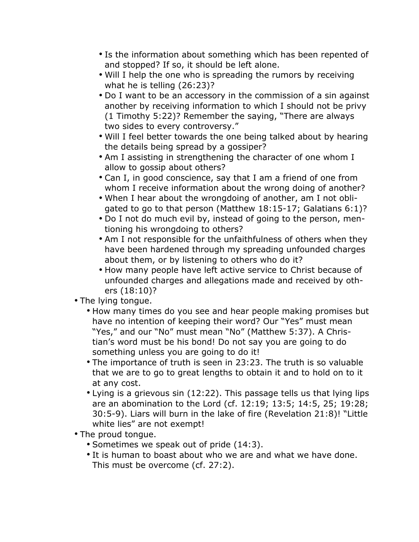- Is the information about something which has been repented of and stopped? If so, it should be left alone.
- Will I help the one who is spreading the rumors by receiving what he is telling (26:23)?
- Do I want to be an accessory in the commission of a sin against another by receiving information to which I should not be privy (1 Timothy 5:22)? Remember the saying, "There are always two sides to every controversy."
- Will I feel better towards the one being talked about by hearing the details being spread by a gossiper?
- Am I assisting in strengthening the character of one whom I allow to gossip about others?
- Can I, in good conscience, say that I am a friend of one from whom I receive information about the wrong doing of another?
- When I hear about the wrongdoing of another, am I not obligated to go to that person (Matthew 18:15-17; Galatians 6:1)?
- Do I not do much evil by, instead of going to the person, mentioning his wrongdoing to others?
- Am I not responsible for the unfaithfulness of others when they have been hardened through my spreading unfounded charges about them, or by listening to others who do it?
- How many people have left active service to Christ because of unfounded charges and allegations made and received by others (18:10)?
- The lying tongue.
	- How many times do you see and hear people making promises but have no intention of keeping their word? Our "Yes" must mean "Yes," and our "No" must mean "No" (Matthew 5:37). A Christian's word must be his bond! Do not say you are going to do something unless you are going to do it!
	- The importance of truth is seen in 23:23. The truth is so valuable that we are to go to great lengths to obtain it and to hold on to it at any cost.
	- Lying is a grievous sin (12:22). This passage tells us that lying lips are an abomination to the Lord (cf. 12:19; 13:5; 14:5, 25; 19:28; 30:5-9). Liars will burn in the lake of fire (Revelation 21:8)! "Little white lies" are not exempt!
- The proud tongue.
	- Sometimes we speak out of pride (14:3).
	- It is human to boast about who we are and what we have done. This must be overcome (cf. 27:2).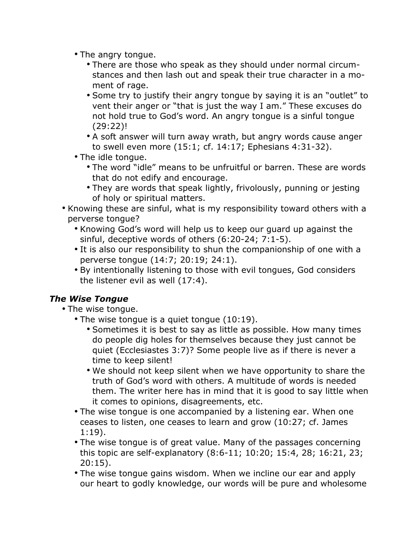- The angry tongue.
	- There are those who speak as they should under normal circumstances and then lash out and speak their true character in a moment of rage.
	- Some try to justify their angry tongue by saying it is an "outlet" to vent their anger or "that is just the way I am." These excuses do not hold true to God's word. An angry tongue is a sinful tongue (29:22)!
	- A soft answer will turn away wrath, but angry words cause anger to swell even more (15:1; cf. 14:17; Ephesians 4:31-32).
- The idle tongue.
	- The word "idle" means to be unfruitful or barren. These are words that do not edify and encourage.
	- They are words that speak lightly, frivolously, punning or jesting of holy or spiritual matters.
- Knowing these are sinful, what is my responsibility toward others with a perverse tongue?
	- Knowing God's word will help us to keep our guard up against the sinful, deceptive words of others (6:20-24; 7:1-5).
	- It is also our responsibility to shun the companionship of one with a perverse tongue (14:7; 20:19; 24:1).
	- By intentionally listening to those with evil tongues, God considers the listener evil as well (17:4).

# *The Wise Tongue*

- The wise tongue.
	- The wise tongue is a quiet tongue (10:19).
		- Sometimes it is best to say as little as possible. How many times do people dig holes for themselves because they just cannot be quiet (Ecclesiastes 3:7)? Some people live as if there is never a time to keep silent!
		- We should not keep silent when we have opportunity to share the truth of God's word with others. A multitude of words is needed them. The writer here has in mind that it is good to say little when it comes to opinions, disagreements, etc.
	- The wise tongue is one accompanied by a listening ear. When one ceases to listen, one ceases to learn and grow (10:27; cf. James 1:19).
	- The wise tongue is of great value. Many of the passages concerning this topic are self-explanatory (8:6-11; 10:20; 15:4, 28; 16:21, 23; 20:15).
	- The wise tongue gains wisdom. When we incline our ear and apply our heart to godly knowledge, our words will be pure and wholesome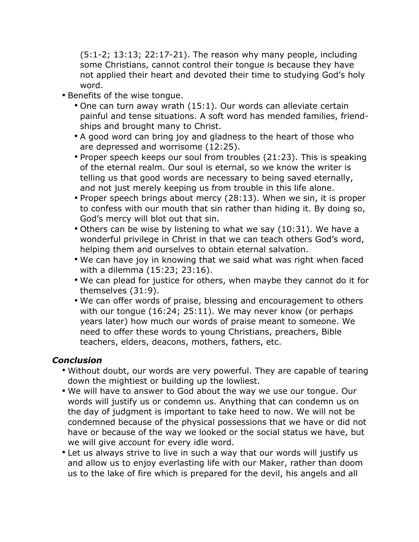(5:1-2; 13:13; 22:17-21). The reason why many people, including some Christians, cannot control their tongue is because they have not applied their heart and devoted their time to studying God's holy word.

- Benefits of the wise tongue.
	- One can turn away wrath (15:1). Our words can alleviate certain painful and tense situations. A soft word has mended families, friendships and brought many to Christ.
	- A good word can bring joy and gladness to the heart of those who are depressed and worrisome (12:25).
	- Proper speech keeps our soul from troubles (21:23). This is speaking of the eternal realm. Our soul is eternal, so we know the writer is telling us that good words are necessary to being saved eternally, and not just merely keeping us from trouble in this life alone.
	- Proper speech brings about mercy (28:13). When we sin, it is proper to confess with our mouth that sin rather than hiding it. By doing so, God's mercy will blot out that sin.
	- Others can be wise by listening to what we say (10:31). We have a wonderful privilege in Christ in that we can teach others God's word, helping them and ourselves to obtain eternal salvation.
	- We can have joy in knowing that we said what was right when faced with a dilemma (15:23; 23:16).
	- We can plead for justice for others, when maybe they cannot do it for themselves (31:9).
	- We can offer words of praise, blessing and encouragement to others with our tongue (16:24; 25:11). We may never know (or perhaps years later) how much our words of praise meant to someone. We need to offer these words to young Christians, preachers, Bible teachers, elders, deacons, mothers, fathers, etc.

#### *Conclusion*

- Without doubt, our words are very powerful. They are capable of tearing down the mightiest or building up the lowliest.
- We will have to answer to God about the way we use our tongue. Our words will justify us or condemn us. Anything that can condemn us on the day of judgment is important to take heed to now. We will not be condemned because of the physical possessions that we have or did not have or because of the way we looked or the social status we have, but we will give account for every idle word.
- Let us always strive to live in such a way that our words will justify us and allow us to enjoy everlasting life with our Maker, rather than doom us to the lake of fire which is prepared for the devil, his angels and all